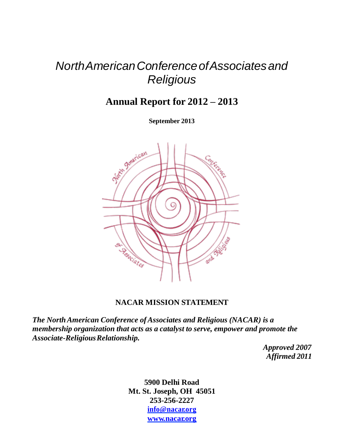# *NorthAmericanConferenceofAssociatesand Religious*

# **Annual Report for 2012 – 2013**

**September 2013**



# **NACAR MISSION STATEMENT**

*The NorthAmerican Conference ofAssociates and Religious (NACAR) is a membership organization that acts as a catalyst to serve, empower and promote the Associate-ReligiousRelationship.*

> *Approved 2007 Affirmed 2011*

**5900 Delhi Road Mt. St. Joseph, OH 45051 253-256-2227 [info@nacar.org](mailto:info@nacar.org) [www.nacar.org](http://www.nacar.org/)**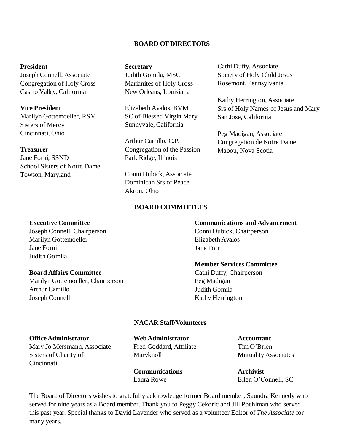#### **BOARD OFDIRECTORS**

#### **President**

Joseph Connell, Associate Congregation of Holy Cross Castro Valley, California

**Vice President** Marilyn Gottemoeller, RSM Sisters of Mercy Cincinnati, Ohio

#### **Treasurer**

Jane Forni, SSND School Sisters of Notre Dame Towson, Maryland

#### **Secretary**

Judith Gomila, MSC Marianites of Holy Cross New Orleans, Louisiana

Elizabeth Avalos, BVM SC of Blessed Virgin Mary Sunnyvale, California

Arthur Carrillo, C.P. Congregation of the Passion Park Ridge, Illinois

Conni Dubick, Associate Dominican Srs of Peace Akron, Ohio

#### **BOARD COMMITTEES**

#### **Executive Committee**

Joseph Connell, Chairperson Marilyn Gottemoeller Jane Forni Judith Gomila

#### **Board Affairs Committee**

Marilyn Gottemoeller, Chairperson Arthur Carrillo Joseph Connell

Cathi Duffy, Associate Society of Holy Child Jesus Rosemont, Pennsylvania

Kathy Herrington, Associate Srs of Holy Names of Jesus and Mary San Jose, California

Peg Madigan, Associate Congregation de Notre Dame Mabou, Nova Scotia

#### **Communications and Advancement**

Conni Dubick, Chairperson Elizabeth Avalos Jane Forni

#### **Member Services Committee**

Cathi Duffy, Chairperson Peg Madigan Judith Gomila Kathy Herrington

#### **NACAR Staff/Volunteers**

#### **OfficeAdministrator**

Mary Jo Mersmann, Associate Sisters of Charity of Cincinnati

**WebAdministrator** Fred Goddard, Affiliate Maryknoll

**Communications** Laura Rowe

**Accountant** Tim O'Brien MutualityAssociates

**Archivist** Ellen O'Connell, SC

The Board of Directors wishes to gratefully acknowledge former Board member, Saundra Kennedy who served for nine years as a Board member. Thank you to Peggy Cekoric and Jill Poehlman who served this past year. Special thanks to David Lavender who served as a volunteer Editor of *The Associate* for many years.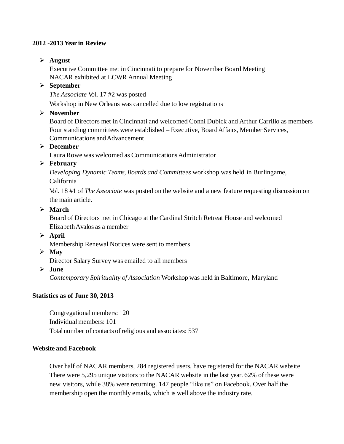# **2012 -2013 Year in Review**

# **August**

Executive Committee met in Cincinnati to prepare for November Board Meeting NACAR exhibited at LCWR Annual Meeting

# **September**

*The Associate* Vol. 17 #2 was posted

Workshop in New Orleans was cancelled due to low registrations

# **November**

Board of Directors met in Cincinnati and welcomed Conni Dubick and Arthur Carrillo as members Four standing committees were established – Executive, BoardAffairs, Member Services, Communications andAdvancement

# **December**

Laura Rowe was welcomed as CommunicationsAdministrator

# **February**

*Developing Dynamic Teams, Boards and Committees* workshop was held in Burlingame, California

Vol. 18 #1 of *The Associate* was posted on the website and a new feature requesting discussion on the main article.

# **March**

Board of Directors met in Chicago at the Cardinal Stritch Retreat House and welcomed ElizabethAvalos as a member

**April**

Membership Renewal Notices were sent to members

 $\triangleright$  May

Director Salary Survey was emailed to all members

**June**

*Contemporary Spirituality of Association* Workshop was held in Baltimore, Maryland

# **Statistics as of June 30, 2013**

Congregational members: 120 Individual members: 101 Total number of contacts of religious and associates: 537

# **Website and Facebook**

Over half of NACAR members, 284 registered users, have registered for the NACAR website There were 5,295 unique visitors to the NACAR website in the last year. 62% of these were new visitors, while 38% were returning. 147 people "like us" on Facebook. Over half the membership open the monthly emails, which is well above the industry rate.